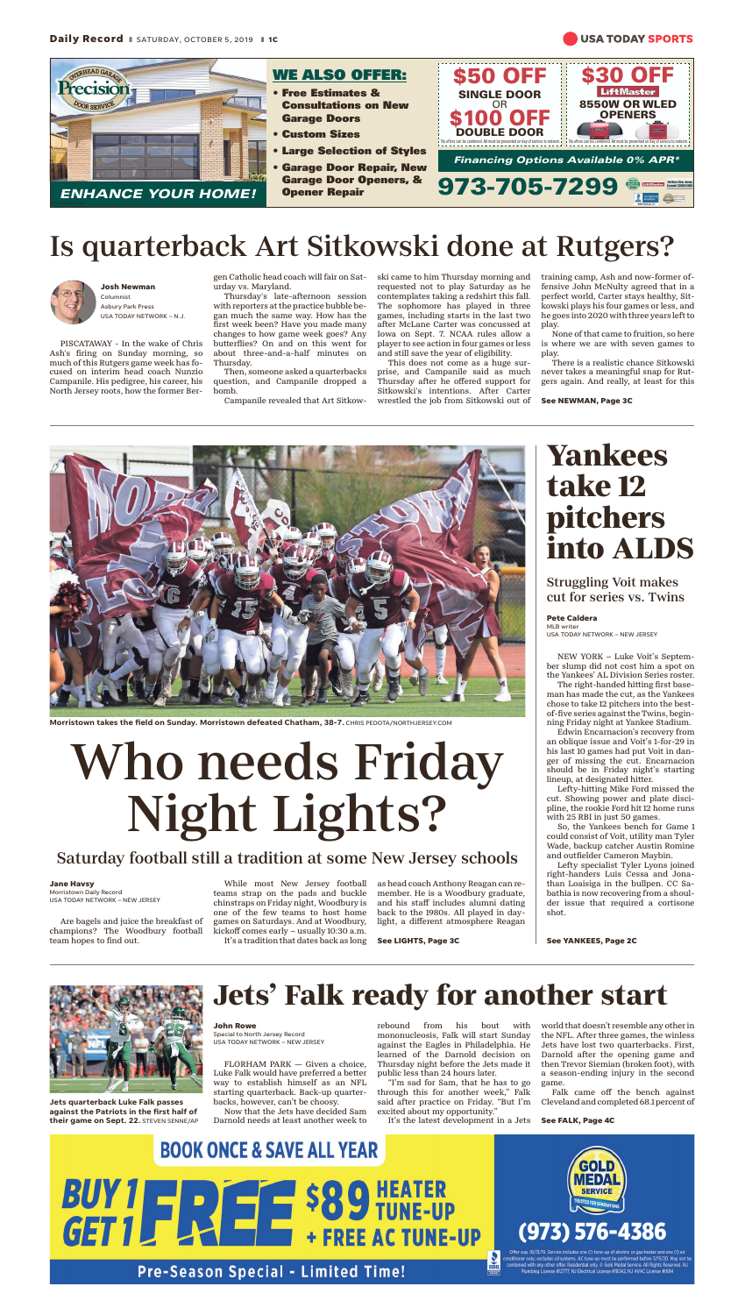

**Morristown takes the field on Sunday. Morristown defeated Chatham, 38-7.** CHRIS PEDOTA/NORTHJERSEY.COM

# Who needs Friday Night Lights?

## Saturday football still a tradition at some New Jersey schools

**Jane Havsy**

Morristown Daily Record USA TODAY NETWORK – NEW JERSEY

Are bagels and juice the breakfast of champions? The Woodbury football team hopes to find out.

While most New Jersey football teams strap on the pads and buckle chinstraps on Friday night, Woodbury is one of the few teams to host home games on Saturdays. And at Woodbury, kickoff comes early – usually 10:30 a.m. It's a tradition that dates back as long as head coach Anthony Reagan can remember. He is a Woodbury graduate, and his staff includes alumni dating back to the 1980s. All played in daylight, a different atmosphere Reagan

**See LIGHTS, Page 3C**